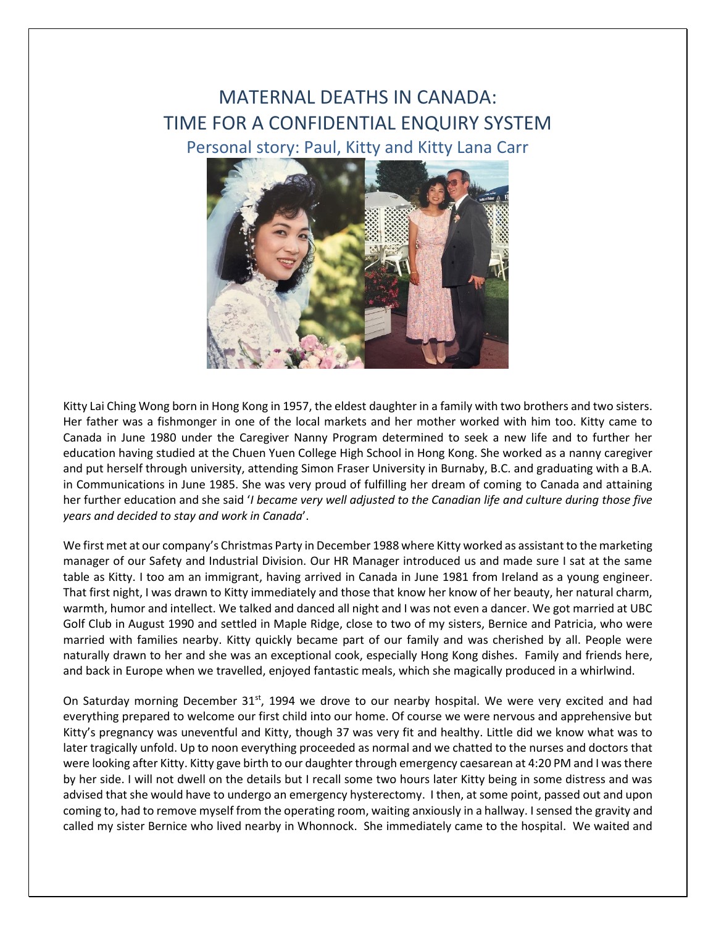## MATERNAL DEATHS IN CANADA: TIME FOR A CONFIDENTIAL ENQUIRY SYSTEM Personal story: Paul, Kitty and Kitty Lana Carr



Kitty Lai Ching Wong born in Hong Kong in 1957, the eldest daughter in a family with two brothers and two sisters. Her father was a fishmonger in one of the local markets and her mother worked with him too. Kitty came to Canada in June 1980 under the Caregiver Nanny Program determined to seek a new life and to further her education having studied at the Chuen Yuen College High School in Hong Kong. She worked as a nanny caregiver and put herself through university, attending Simon Fraser University in Burnaby, B.C. and graduating with a B.A. in Communications in June 1985. She was very proud of fulfilling her dream of coming to Canada and attaining her further education and she said '*I became very well adjusted to the Canadian life and culture during those five years and decided to stay and work in Canada*'.

We first met at our company's Christmas Party in December 1988 where Kitty worked as assistant to the marketing manager of our Safety and Industrial Division. Our HR Manager introduced us and made sure I sat at the same table as Kitty. I too am an immigrant, having arrived in Canada in June 1981 from Ireland as a young engineer. That first night, I was drawn to Kitty immediately and those that know her know of her beauty, her natural charm, warmth, humor and intellect. We talked and danced all night and I was not even a dancer. We got married at UBC Golf Club in August 1990 and settled in Maple Ridge, close to two of my sisters, Bernice and Patricia, who were married with families nearby. Kitty quickly became part of our family and was cherished by all. People were naturally drawn to her and she was an exceptional cook, especially Hong Kong dishes. Family and friends here, and back in Europe when we travelled, enjoyed fantastic meals, which she magically produced in a whirlwind.

On Saturday morning December  $31^{st}$ , 1994 we drove to our nearby hospital. We were very excited and had everything prepared to welcome our first child into our home. Of course we were nervous and apprehensive but Kitty's pregnancy was uneventful and Kitty, though 37 was very fit and healthy. Little did we know what was to later tragically unfold. Up to noon everything proceeded as normal and we chatted to the nurses and doctors that were looking after Kitty. Kitty gave birth to our daughter through emergency caesarean at 4:20 PM and I was there by her side. I will not dwell on the details but I recall some two hours later Kitty being in some distress and was advised that she would have to undergo an emergency hysterectomy. I then, at some point, passed out and upon coming to, had to remove myself from the operating room, waiting anxiously in a hallway. I sensed the gravity and called my sister Bernice who lived nearby in Whonnock. She immediately came to the hospital. We waited and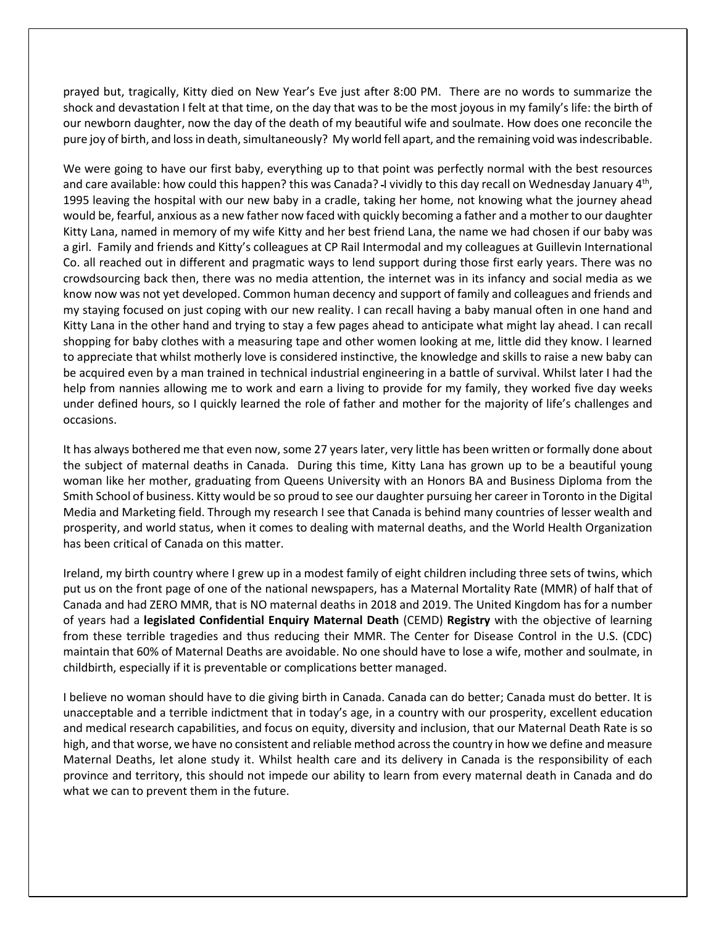prayed but, tragically, Kitty died on New Year's Eve just after 8:00 PM. There are no words to summarize the shock and devastation I felt at that time, on the day that was to be the most joyous in my family's life: the birth of our newborn daughter, now the day of the death of my beautiful wife and soulmate. How does one reconcile the pure joy of birth, and loss in death, simultaneously? My world fell apart, and the remaining void was indescribable.

We were going to have our first baby, everything up to that point was perfectly normal with the best resources and care available: how could this happen? this was Canada? I vividly to this day recall on Wednesday January 4<sup>th</sup>, 1995 leaving the hospital with our new baby in a cradle, taking her home, not knowing what the journey ahead would be, fearful, anxious as a new father now faced with quickly becoming a father and a mother to our daughter Kitty Lana, named in memory of my wife Kitty and her best friend Lana, the name we had chosen if our baby was a girl. Family and friends and Kitty's colleagues at CP Rail Intermodal and my colleagues at Guillevin International Co. all reached out in different and pragmatic ways to lend support during those first early years. There was no crowdsourcing back then, there was no media attention, the internet was in its infancy and social media as we know now was not yet developed. Common human decency and support of family and colleagues and friends and my staying focused on just coping with our new reality. I can recall having a baby manual often in one hand and Kitty Lana in the other hand and trying to stay a few pages ahead to anticipate what might lay ahead. I can recall shopping for baby clothes with a measuring tape and other women looking at me, little did they know. I learned to appreciate that whilst motherly love is considered instinctive, the knowledge and skills to raise a new baby can be acquired even by a man trained in technical industrial engineering in a battle of survival. Whilst later I had the help from nannies allowing me to work and earn a living to provide for my family, they worked five day weeks under defined hours, so I quickly learned the role of father and mother for the majority of life's challenges and occasions.

It has always bothered me that even now, some 27 years later, very little has been written or formally done about the subject of maternal deaths in Canada. During this time, Kitty Lana has grown up to be a beautiful young woman like her mother, graduating from Queens University with an Honors BA and Business Diploma from the Smith School of business. Kitty would be so proud to see our daughter pursuing her career in Toronto in the Digital Media and Marketing field. Through my research I see that Canada is behind many countries of lesser wealth and prosperity, and world status, when it comes to dealing with maternal deaths, and the World Health Organization has been critical of Canada on this matter.

Ireland, my birth country where I grew up in a modest family of eight children including three sets of twins, which put us on the front page of one of the national newspapers, has a Maternal Mortality Rate (MMR) of half that of Canada and had ZERO MMR, that is NO maternal deaths in 2018 and 2019. The United Kingdom has for a number of years had a **legislated Confidential Enquiry Maternal Death** (CEMD) **Registry** with the objective of learning from these terrible tragedies and thus reducing their MMR. The Center for Disease Control in the U.S. (CDC) maintain that 60% of Maternal Deaths are avoidable. No one should have to lose a wife, mother and soulmate, in childbirth, especially if it is preventable or complications better managed.

I believe no woman should have to die giving birth in Canada. Canada can do better; Canada must do better. It is unacceptable and a terrible indictment that in today's age, in a country with our prosperity, excellent education and medical research capabilities, and focus on equity, diversity and inclusion, that our Maternal Death Rate is so high, and that worse, we have no consistent and reliable method across the country in how we define and measure Maternal Deaths, let alone study it. Whilst health care and its delivery in Canada is the responsibility of each province and territory, this should not impede our ability to learn from every maternal death in Canada and do what we can to prevent them in the future.